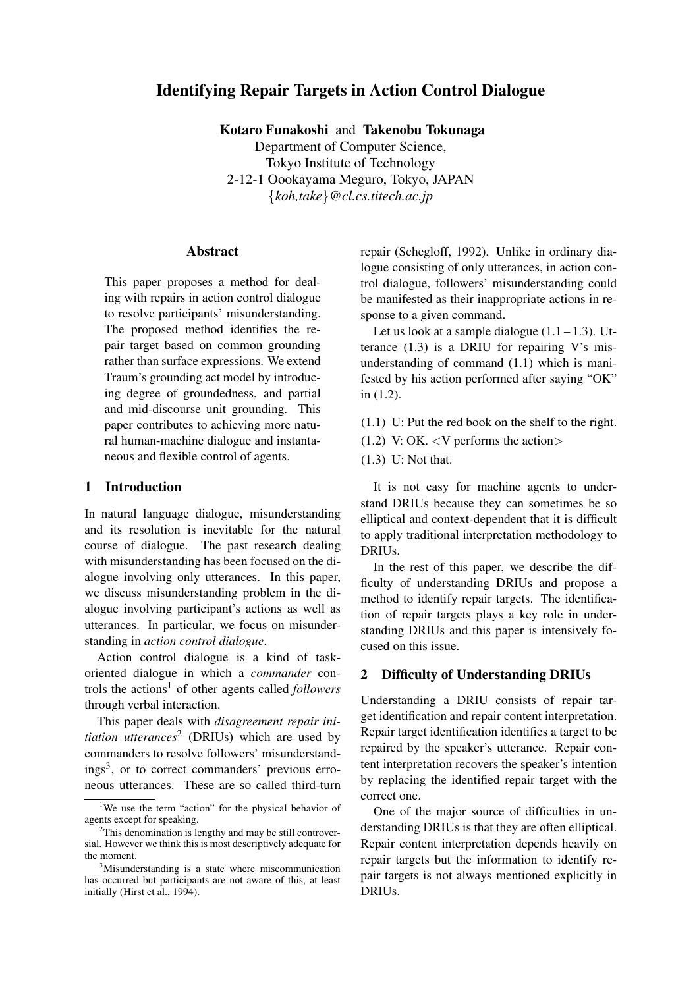# **Identifying Repair Targets in Action Control Dialogue**

**Kotaro Funakoshi** and **Takenobu Tokunaga**

Department of Computer Science, Tokyo Institute of Technology 2-12-1 Oookayama Meguro, Tokyo, JAPAN {*koh,take*}*@cl.cs.titech.ac.jp*

## **Abstract**

This paper proposes a method for dealing with repairs in action control dialogue to resolve participants' misunderstanding. The proposed method identifies the repair target based on common grounding rather than surface expressions. We extend Traum's grounding act model by introducing degree of groundedness, and partial and mid-discourse unit grounding. This paper contributes to achieving more natural human-machine dialogue and instantaneous and flexible control of agents.

### **1 Introduction**

In natural language dialogue, misunderstanding and its resolution is inevitable for the natural course of dialogue. The past research dealing with misunderstanding has been focused on the dialogue involving only utterances. In this paper, we discuss misunderstanding problem in the dialogue involving participant's actions as well as utterances. In particular, we focus on misunderstanding in *action control dialogue*.

Action control dialogue is a kind of taskoriented dialogue in which a *commander* controls the actions<sup>1</sup> of other agents called *followers* through verbal interaction.

This paper deals with *disagreement repair initiation utterances*<sup>2</sup> (DRIUs) which are used by commanders to resolve followers' misunderstandings<sup>3</sup>, or to correct commanders' previous erroneous utterances. These are so called third-turn repair (Schegloff, 1992). Unlike in ordinary dialogue consisting of only utterances, in action control dialogue, followers' misunderstanding could be manifested as their inappropriate actions in response to a given command.

Let us look at a sample dialogue  $(1.1 - 1.3)$ . Utterance  $(1.3)$  is a DRIU for repairing V's misunderstanding of command (1.1) which is manifested by his action performed after saying "OK" in (1.2).

- (1.1) U: Put the red book on the shelf to the right.
- (1.2) V: OK.  $\langle V \rangle$  performs the action
- (1.3) U: Not that.

It is not easy for machine agents to understand DRIUs because they can sometimes be so elliptical and context-dependent that it is difficult to apply traditional interpretation methodology to **DRIUs**.

In the rest of this paper, we describe the difficulty of understanding DRIUs and propose a method to identify repair targets. The identification of repair targets plays a key role in understanding DRIUs and this paper is intensively focused on this issue.

# **2 Difficulty of Understanding DRIUs**

Understanding a DRIU consists of repair target identification and repair content interpretation. Repair target identification identifies a target to be repaired by the speaker's utterance. Repair content interpretation recovers the speaker's intention by replacing the identified repair target with the correct one.

One of the major source of difficulties in understanding DRIUs is that they are often elliptical. Repair content interpretation depends heavily on repair targets but the information to identify repair targets is not always mentioned explicitly in DRIUs.

<sup>&</sup>lt;sup>1</sup>We use the term "action" for the physical behavior of agents except for speaking.

 $2$ This denomination is lengthy and may be still controversial. However we think this is most descriptively adequate for the moment.

<sup>&</sup>lt;sup>3</sup>Misunderstanding is a state where miscommunication has occurred but participants are not aware of this, at least initially (Hirst et al., 1994).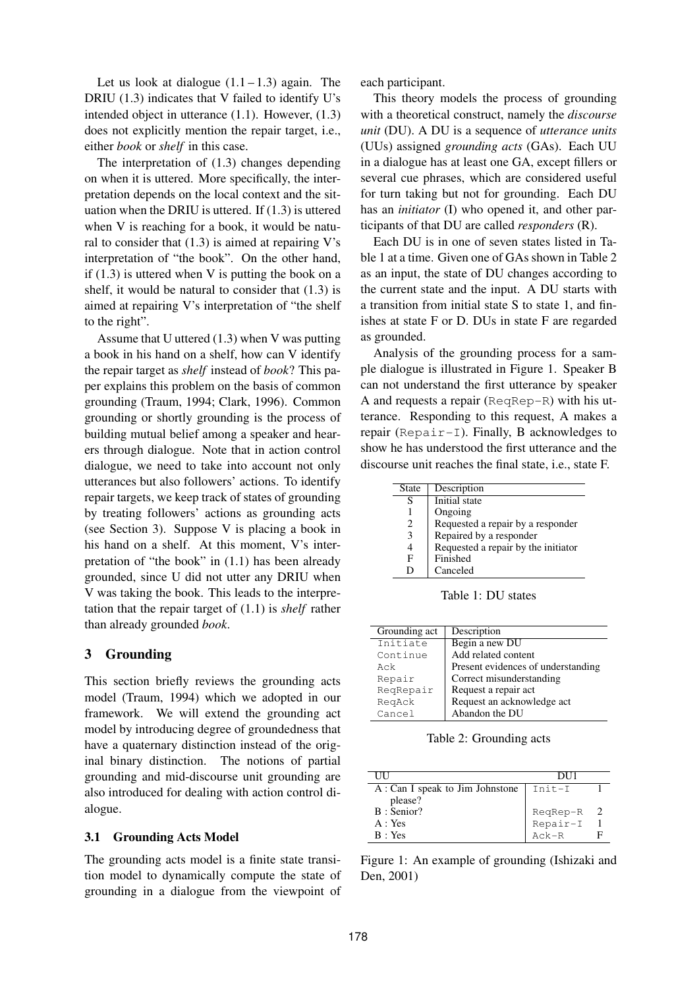Let us look at dialogue  $(1.1 - 1.3)$  again. The DRIU (1.3) indicates that V failed to identify U's intended object in utterance (1.1). However, (1.3) does not explicitly mention the repair target, i.e., either *book* or *shelf* in this case.

The interpretation of (1.3) changes depending on when it is uttered. More specifically, the interpretation depends on the local context and the situation when the DRIU is uttered. If  $(1.3)$  is uttered when V is reaching for a book, it would be natural to consider that  $(1.3)$  is aimed at repairing V's interpretation of "the book". On the other hand, if  $(1.3)$  is uttered when V is putting the book on a shelf, it would be natural to consider that (1.3) is aimed at repairing V's interpretation of "the shelf to the right".

Assume that U uttered (1.3) when V was putting a book in his hand on a shelf, how can V identify the repair target as *shelf* instead of *book*? This paper explains this problem on the basis of common grounding (Traum, 1994; Clark, 1996). Common grounding or shortly grounding is the process of building mutual belief among a speaker and hearers through dialogue. Note that in action control dialogue, we need to take into account not only utterances but also followers' actions. To identify repair targets, we keep track of states of grounding by treating followers' actions as grounding acts (see Section 3). Suppose V is placing a book in his hand on a shelf. At this moment, V's interpretation of "the book" in (1.1) has been already grounded, since U did not utter any DRIU when V was taking the book. This leads to the interpretation that the repair target of (1.1) is *shelf* rather than already grounded *book*.

# **3 Grounding**

This section briefly reviews the grounding acts model (Traum, 1994) which we adopted in our framework. We will extend the grounding act model by introducing degree of groundedness that have a quaternary distinction instead of the original binary distinction. The notions of partial grounding and mid-discourse unit grounding are also introduced for dealing with action control dialogue.

### **3.1 Grounding Acts Model**

The grounding acts model is a finite state transition model to dynamically compute the state of grounding in a dialogue from the viewpoint of each participant.

This theory models the process of grounding with a theoretical construct, namely the *discourse unit* (DU). A DU is a sequence of *utterance units* (UUs) assigned *grounding acts* (GAs). Each UU in a dialogue has at least one GA, except fillers or several cue phrases, which are considered useful for turn taking but not for grounding. Each DU has an *initiator* (I) who opened it, and other participants of that DU are called *responders* (R).

Each DU is in one of seven states listed in Table 1 at a time. Given one of GAs shown in Table 2 as an input, the state of DU changes according to the current state and the input. A DU starts with a transition from initial state S to state 1, and finishes at state F or D. DUs in state F are regarded as grounded.

Analysis of the grounding process for a sample dialogue is illustrated in Figure 1. Speaker B can not understand the first utterance by speaker A and requests a repair (ReqRep-R) with his utterance. Responding to this request, A makes a repair (Repair-I). Finally, B acknowledges to show he has understood the first utterance and the discourse unit reaches the final state, i.e., state F.

| State | Description                         |
|-------|-------------------------------------|
| S     | Initial state                       |
|       | Ongoing                             |
| 2     | Requested a repair by a responder   |
| 3     | Repaired by a responder             |
| 4     | Requested a repair by the initiator |
| F     | Finished                            |
|       | Canceled                            |

Table 1: DU states

| Grounding act | Description                        |
|---------------|------------------------------------|
| Initiate      | Begin a new DU                     |
| Continue      | Add related content                |
| Ack           | Present evidences of understanding |
| Repair        | Correct misunderstanding           |
| ReqRepair     | Request a repair act               |
| ReqAck        | Request an acknowledge act         |
| Cancel        | Abandon the DU                     |

Table 2: Grounding acts

| Ш                                | DU1                  |  |
|----------------------------------|----------------------|--|
| A : Can I speak to Jim Johnstone | $Init-I$             |  |
| please?                          |                      |  |
| B: Senior?                       |                      |  |
| A: Yes                           | ReqRep-R<br>Repair-I |  |
| $B \cdot Yes$                    | $Ack - R$            |  |

Figure 1: An example of grounding (Ishizaki and Den, 2001)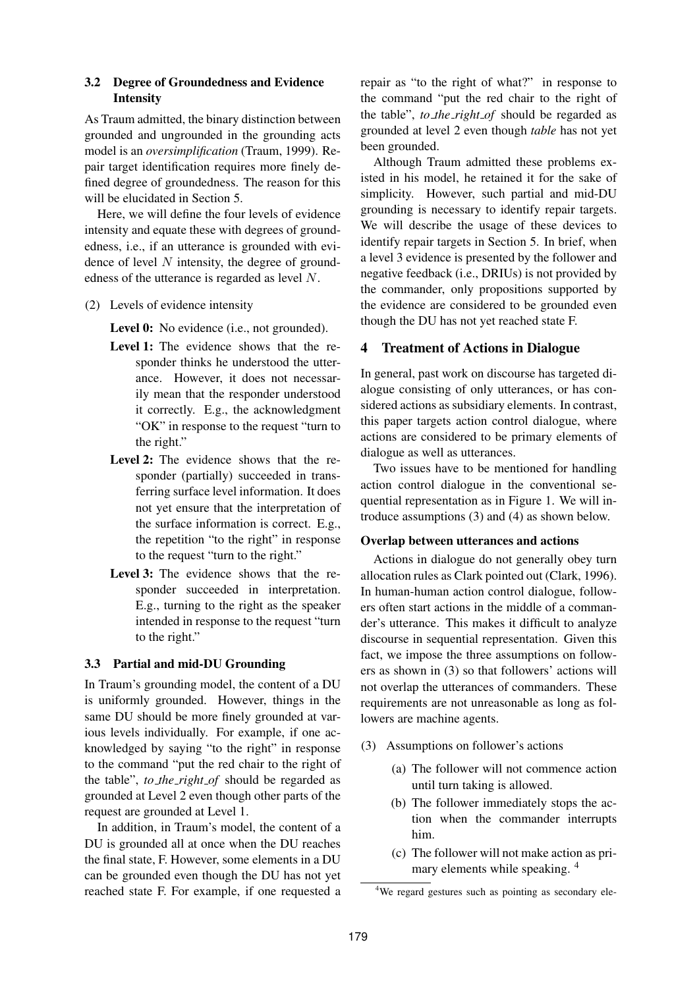## **3.2 Degree of Groundedness and Evidence Intensity**

As Traum admitted, the binary distinction between grounded and ungrounded in the grounding acts model is an *oversimplification* (Traum, 1999). Repair target identification requires more finely defined degree of groundedness. The reason for this will be elucidated in Section 5.

Here, we will define the four levels of evidence intensity and equate these with degrees of groundedness, i.e., if an utterance is grounded with evidence of level  $N$  intensity, the degree of groundedness of the utterance is regarded as level N.

(2) Levels of evidence intensity

Level 0: No evidence (i.e., not grounded).

- **Level 1:** The evidence shows that the responder thinks he understood the utterance. However, it does not necessarily mean that the responder understood it correctly. E.g., the acknowledgment "OK" in response to the request "turn to the right."
- **Level 2:** The evidence shows that the responder (partially) succeeded in transferring surface level information. It does not yet ensure that the interpretation of the surface information is correct. E.g., the repetition "to the right" in response to the request "turn to the right."
- **Level 3:** The evidence shows that the responder succeeded in interpretation. E.g., turning to the right as the speaker intended in response to the request "turn to the right."

### **3.3 Partial and mid-DU Grounding**

In Traum's grounding model, the content of a DU is uniformly grounded. However, things in the same DU should be more finely grounded at various levels individually. For example, if one acknowledged by saying "to the right" in response to the command "put the red chair to the right of the table", *to the right of* should be regarded as grounded at Level 2 even though other parts of the request are grounded at Level 1.

In addition, in Traum's model, the content of a DU is grounded all at once when the DU reaches the final state, F. However, some elements in a DU can be grounded even though the DU has not yet reached state F. For example, if one requested a repair as "to the right of what?" in response to the command "put the red chair to the right of the table", *to the right of* should be regarded as grounded at level 2 even though *table* has not yet been grounded.

Although Traum admitted these problems existed in his model, he retained it for the sake of simplicity. However, such partial and mid-DU grounding is necessary to identify repair targets. We will describe the usage of these devices to identify repair targets in Section 5. In brief, when a level 3 evidence is presented by the follower and negative feedback (i.e., DRIUs) is not provided by the commander, only propositions supported by the evidence are considered to be grounded even though the DU has not yet reached state F.

#### **4 Treatment of Actions in Dialogue**

In general, past work on discourse has targeted dialogue consisting of only utterances, or has considered actions as subsidiary elements. In contrast, this paper targets action control dialogue, where actions are considered to be primary elements of dialogue as well as utterances.

Two issues have to be mentioned for handling action control dialogue in the conventional sequential representation as in Figure 1. We will introduce assumptions (3) and (4) as shown below.

#### **Overlap between utterances and actions**

Actions in dialogue do not generally obey turn allocation rules as Clark pointed out (Clark, 1996). In human-human action control dialogue, followers often start actions in the middle of a commander's utterance. This makes it difficult to analyze discourse in sequential representation. Given this fact, we impose the three assumptions on followers as shown in (3) so that followers' actions will not overlap the utterances of commanders. These requirements are not unreasonable as long as followers are machine agents.

- (3) Assumptions on follower's actions
	- (a) The follower will not commence action until turn taking is allowed.
	- (b) The follower immediately stops the action when the commander interrupts him.
	- (c) The follower will not make action as primary elements while speaking. <sup>4</sup>

<sup>&</sup>lt;sup>4</sup>We regard gestures such as pointing as secondary ele-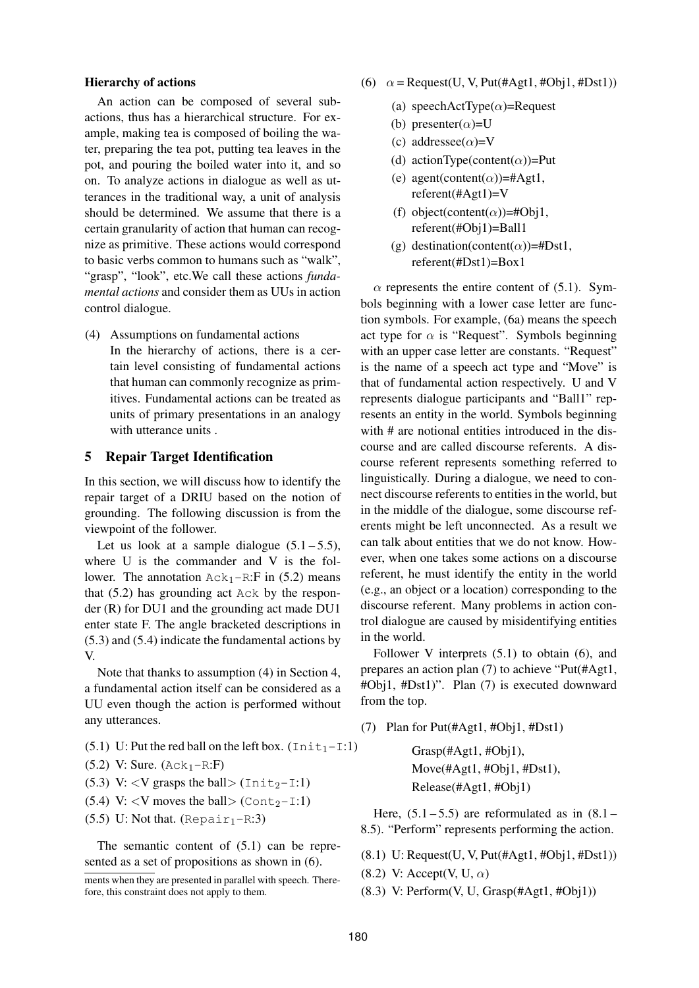#### **Hierarchy of actions**

An action can be composed of several subactions, thus has a hierarchical structure. For example, making tea is composed of boiling the water, preparing the tea pot, putting tea leaves in the pot, and pouring the boiled water into it, and so on. To analyze actions in dialogue as well as utterances in the traditional way, a unit of analysis should be determined. We assume that there is a certain granularity of action that human can recognize as primitive. These actions would correspond to basic verbs common to humans such as "walk", "grasp", "look", etc.We call these actions *fundamental actions* and consider them as UUs in action control dialogue.

(4) Assumptions on fundamental actions In the hierarchy of actions, there is a certain level consisting of fundamental actions that human can commonly recognize as primitives. Fundamental actions can be treated as units of primary presentations in an analogy with utterance units .

#### **5 Repair Target Identification**

In this section, we will discuss how to identify the repair target of a DRIU based on the notion of grounding. The following discussion is from the viewpoint of the follower.

Let us look at a sample dialogue  $(5.1 - 5.5)$ , where U is the commander and V is the follower. The annotation  $Ack_1-R:Fi$  in (5.2) means that (5.2) has grounding act Ack by the responder (R) for DU1 and the grounding act made DU1 enter state F. The angle bracketed descriptions in (5.3) and (5.4) indicate the fundamental actions by V.

Note that thanks to assumption (4) in Section 4, a fundamental action itself can be considered as a UU even though the action is performed without any utterances.

- (5.1) U: Put the red ball on the left box.  $(\text{Init}_1 \text{I}:1)$
- $(5.2)$  V: Sure.  $(Ack_1-R:F)$
- (5.3) V: <V grasps the ball>  $(\text{Init}_2 \text{I}:l)$
- (5.4) V:  $\langle V \rangle$  moves the ball  $\langle$  Cont<sub>2</sub>-I:1)
- $(5.5)$  U: Not that. (Repair<sub>1</sub>-R:3)

The semantic content of  $(5.1)$  can be represented as a set of propositions as shown in (6).

- (6)  $\alpha$  = Request(U, V, Put(#Agt1, #Obj1, #Dst1))
	- (a) speechActType $(\alpha)$ =Request
	- (b) presenter( $\alpha$ )=U
	- (c) addressee( $\alpha$ )=V
	- (d) actionType(content( $\alpha$ ))=Put
	- (e) agent(content( $\alpha$ ))=#Agt1, referent(#Agt1)=V
	- (f) object(content( $\alpha$ ))=#Obj1, referent(#Obj1)=Ball1
	- (g) destination(content( $\alpha$ ))=#Dst1, referent(#Dst1)=Box1

 $\alpha$  represents the entire content of (5.1). Symbols beginning with a lower case letter are function symbols. For example, (6a) means the speech act type for  $\alpha$  is "Request". Symbols beginning with an upper case letter are constants. "Request" is the name of a speech act type and "Move" is that of fundamental action respectively. U and V represents dialogue participants and "Ball1" represents an entity in the world. Symbols beginning with # are notional entities introduced in the discourse and are called discourse referents. A discourse referent represents something referred to linguistically. During a dialogue, we need to connect discourse referents to entities in the world, but in the middle of the dialogue, some discourse referents might be left unconnected. As a result we can talk about entities that we do not know. However, when one takes some actions on a discourse referent, he must identify the entity in the world (e.g., an object or a location) corresponding to the discourse referent. Many problems in action control dialogue are caused by misidentifying entities in the world.

Follower V interprets (5.1) to obtain (6), and prepares an action plan (7) to achieve "Put(#Agt1, #Obj1, #Dst1)". Plan (7) is executed downward from the top.

(7) Plan for Put(#Agt1, #Obj1, #Dst1)

Grasp(#Agt1, #Obj1), Move(#Agt1, #Obj1, #Dst1), Release(#Agt1, #Obj1)

Here,  $(5.1 - 5.5)$  are reformulated as in  $(8.1 -$ 8.5). "Perform" represents performing the action.

- (8.1) U: Request(U, V, Put(#Agt1, #Obj1, #Dst1))
- (8.2) V: Accept(V, U,  $\alpha$ )
- $(8.3)$  V: Perform $(V, U, Grasp(\#Agt1, \#Obj1))$

ments when they are presented in parallel with speech. Therefore, this constraint does not apply to them.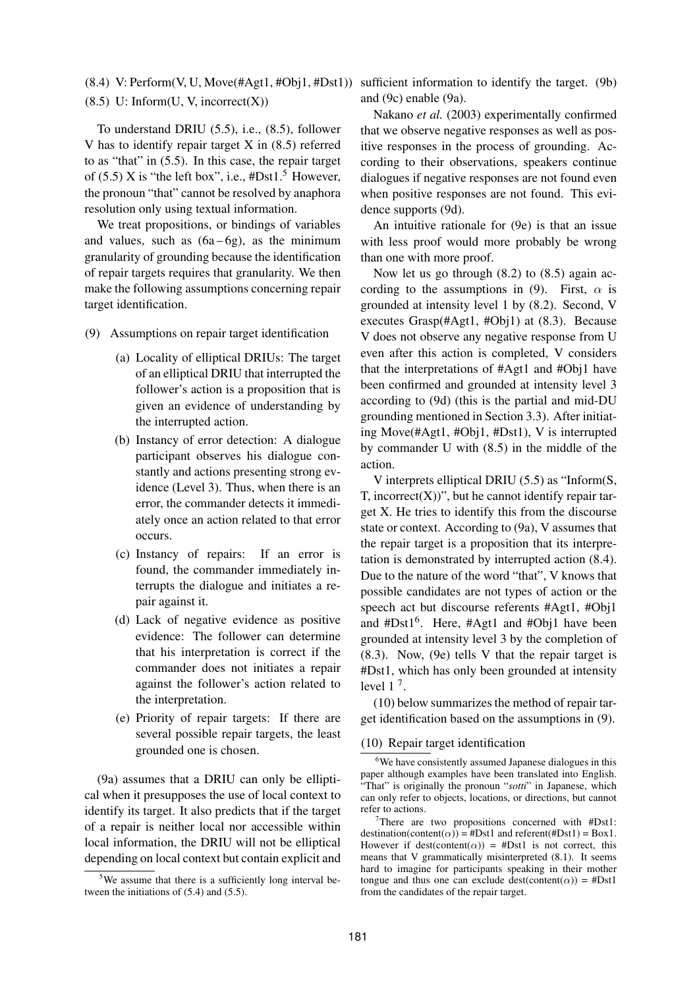$(8.5)$  U: Inform $(U, V, \text{incorrect}(X))$ 

To understand DRIU (5.5), i.e., (8.5), follower V has to identify repair target X in (8.5) referred to as "that" in (5.5). In this case, the repair target of (5.5) X is "the left box", i.e.,  $\text{\#Dst1.}^5$  However, the pronoun "that" cannot be resolved by anaphora resolution only using textual information.

We treat propositions, or bindings of variables and values, such as  $(6a-6g)$ , as the minimum granularity of grounding because the identification of repair targets requires that granularity. We then make the following assumptions concerning repair target identification.

- (9) Assumptions on repair target identification
	- (a) Locality of elliptical DRIUs: The target of an elliptical DRIU that interrupted the follower's action is a proposition that is given an evidence of understanding by the interrupted action.
	- (b) Instancy of error detection: A dialogue participant observes his dialogue constantly and actions presenting strong evidence (Level 3). Thus, when there is an error, the commander detects it immediately once an action related to that error occurs.
	- (c) Instancy of repairs: If an error is found, the commander immediately interrupts the dialogue and initiates a repair against it.
	- (d) Lack of negative evidence as positive evidence: The follower can determine that his interpretation is correct if the commander does not initiates a repair against the follower's action related to the interpretation.
	- (e) Priority of repair targets: If there are several possible repair targets, the least grounded one is chosen.

(9a) assumes that a DRIU can only be elliptical when it presupposes the use of local context to identify its target. It also predicts that if the target of a repair is neither local nor accessible within local information, the DRIU will not be elliptical depending on local context but contain explicit and

(8.4) V: Perform(V, U, Move(#Agt1, #Obj1, #Dst1)) sufficient information to identify the target. (9b) and (9c) enable (9a).

> Nakano *et al.* (2003) experimentally confirmed that we observe negative responses as well as positive responses in the process of grounding. According to their observations, speakers continue dialogues if negative responses are not found even when positive responses are not found. This evidence supports (9d).

> An intuitive rationale for (9e) is that an issue with less proof would more probably be wrong than one with more proof.

> Now let us go through (8.2) to (8.5) again according to the assumptions in (9). First,  $\alpha$  is grounded at intensity level 1 by (8.2). Second, V executes Grasp(#Agt1, #Obj1) at (8.3). Because V does not observe any negative response from U even after this action is completed, V considers that the interpretations of #Agt1 and #Obj1 have been confirmed and grounded at intensity level 3 according to (9d) (this is the partial and mid-DU grounding mentioned in Section 3.3). After initiating Move(#Agt1, #Obj1, #Dst1), V is interrupted by commander U with (8.5) in the middle of the action.

> V interprets elliptical DRIU (5.5) as "Inform(S, T, incorrect $(X)$ )", but he cannot identify repair target X. He tries to identify this from the discourse state or context. According to (9a), V assumes that the repair target is a proposition that its interpretation is demonstrated by interrupted action (8.4). Due to the nature of the word "that", V knows that possible candidates are not types of action or the speech act but discourse referents #Agt1, #Obj1 and #Dst1<sup>6</sup>. Here, #Agt1 and #Obj1 have been grounded at intensity level 3 by the completion of (8.3). Now, (9e) tells V that the repair target is #Dst1, which has only been grounded at intensity level  $1^7$ .

> (10) below summarizes the method of repair target identification based on the assumptions in (9).

#### (10) Repair target identification

 $5$ We assume that there is a sufficiently long interval between the initiations of (5.4) and (5.5).

<sup>&</sup>lt;sup>6</sup>We have consistently assumed Japanese dialogues in this paper although examples have been translated into English. "That" is originally the pronoun "*sotti*" in Japanese, which can only refer to objects, locations, or directions, but cannot refer to actions.

<sup>&</sup>lt;sup>7</sup>There are two propositions concerned with  $#Dist1$ : destination(content( $\alpha$ )) = #Dst1 and referent(#Dst1) = Box1. However if dest(content( $\alpha$ )) = #Dst1 is not correct, this means that V grammatically misinterpreted (8.1). It seems hard to imagine for participants speaking in their mother tongue and thus one can exclude dest(content( $\alpha$ )) = #Dst1 from the candidates of the repair target.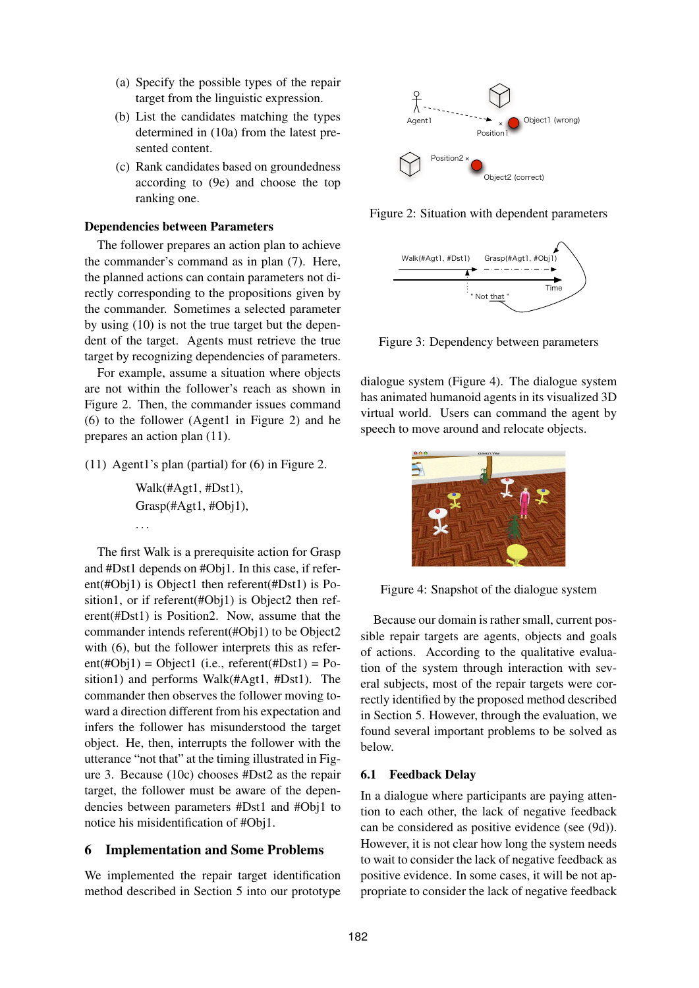- (a) Specify the possible types of the repair target from the linguistic expression.
- (b) List the candidates matching the types determined in (10a) from the latest presented content.
- (c) Rank candidates based on groundedness according to (9e) and choose the top ranking one.

#### **Dependencies between Parameters**

The follower prepares an action plan to achieve the commander's command as in plan (7). Here, the planned actions can contain parameters not directly corresponding to the propositions given by the commander. Sometimes a selected parameter by using (10) is not the true target but the dependent of the target. Agents must retrieve the true target by recognizing dependencies of parameters.

For example, assume a situation where objects are not within the follower's reach as shown in Figure 2. Then, the commander issues command (6) to the follower (Agent1 in Figure 2) and he prepares an action plan (11).

(11) Agent1's plan (partial) for (6) in Figure 2.

Walk(#Agt1, #Dst1), Grasp(#Agt1, #Obj1), . . .

The first Walk is a prerequisite action for Grasp and #Dst1 depends on #Obj1. In this case, if referent(#Obj1) is Object1 then referent(#Dst1) is Position1, or if referent(#Obj1) is Object2 then referent(#Dst1) is Position2. Now, assume that the commander intends referent(#Obj1) to be Object2 with (6), but the follower interprets this as refer $ent(\text{\#Obj1}) = Object1$  (i.e., referent( $\text{\#Dist1}) = Po$ sition1) and performs Walk(#Agt1, #Dst1). The commander then observes the follower moving toward a direction different from his expectation and infers the follower has misunderstood the target object. He, then, interrupts the follower with the utterance "not that" at the timing illustrated in Figure 3. Because (10c) chooses #Dst2 as the repair target, the follower must be aware of the dependencies between parameters #Dst1 and #Obj1 to notice his misidentification of #Obj1.

# **6 Implementation and Some Problems**

We implemented the repair target identification method described in Section 5 into our prototype



Figure 2: Situation with dependent parameters



Figure 3: Dependency between parameters

dialogue system (Figure 4). The dialogue system has animated humanoid agents in its visualized 3D virtual world. Users can command the agent by speech to move around and relocate objects.



Figure 4: Snapshot of the dialogue system

Because our domain is rather small, current possible repair targets are agents, objects and goals of actions. According to the qualitative evaluation of the system through interaction with several subjects, most of the repair targets were correctly identified by the proposed method described in Section 5. However, through the evaluation, we found several important problems to be solved as below.

### **6.1 Feedback Delay**

In a dialogue where participants are paying attention to each other, the lack of negative feedback can be considered as positive evidence (see (9d)). However, it is not clear how long the system needs to wait to consider the lack of negative feedback as positive evidence. In some cases, it will be not appropriate to consider the lack of negative feedback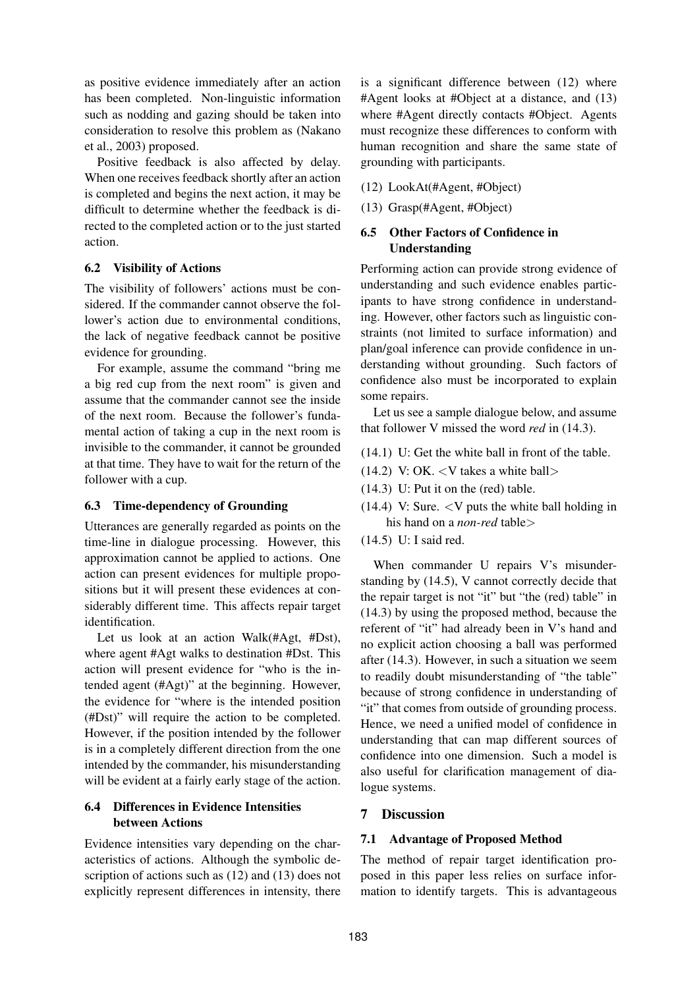as positive evidence immediately after an action has been completed. Non-linguistic information such as nodding and gazing should be taken into consideration to resolve this problem as (Nakano et al., 2003) proposed.

Positive feedback is also affected by delay. When one receives feedback shortly after an action is completed and begins the next action, it may be difficult to determine whether the feedback is directed to the completed action or to the just started action.

# **6.2 Visibility of Actions**

The visibility of followers' actions must be considered. If the commander cannot observe the follower's action due to environmental conditions, the lack of negative feedback cannot be positive evidence for grounding.

For example, assume the command "bring me a big red cup from the next room" is given and assume that the commander cannot see the inside of the next room. Because the follower's fundamental action of taking a cup in the next room is invisible to the commander, it cannot be grounded at that time. They have to wait for the return of the follower with a cup.

# **6.3 Time-dependency of Grounding**

Utterances are generally regarded as points on the time-line in dialogue processing. However, this approximation cannot be applied to actions. One action can present evidences for multiple propositions but it will present these evidences at considerably different time. This affects repair target identification.

Let us look at an action Walk(#Agt, #Dst), where agent #Agt walks to destination #Dst. This action will present evidence for "who is the intended agent (#Agt)" at the beginning. However, the evidence for "where is the intended position (#Dst)" will require the action to be completed. However, if the position intended by the follower is in a completely different direction from the one intended by the commander, his misunderstanding will be evident at a fairly early stage of the action.

# **6.4 Differences in Evidence Intensities between Actions**

Evidence intensities vary depending on the characteristics of actions. Although the symbolic description of actions such as (12) and (13) does not explicitly represent differences in intensity, there

is a significant difference between (12) where #Agent looks at #Object at a distance, and (13) where #Agent directly contacts #Object. Agents must recognize these differences to conform with human recognition and share the same state of grounding with participants.

- (12) LookAt(#Agent, #Object)
- (13) Grasp(#Agent, #Object)

# **6.5 Other Factors of Confidence in Understanding**

Performing action can provide strong evidence of understanding and such evidence enables participants to have strong confidence in understanding. However, other factors such as linguistic constraints (not limited to surface information) and plan/goal inference can provide confidence in understanding without grounding. Such factors of confidence also must be incorporated to explain some repairs.

Let us see a sample dialogue below, and assume that follower V missed the word *red* in (14.3).

- (14.1) U: Get the white ball in front of the table.
- $(14.2)$  V: OK. < V takes a white ball >
- (14.3) U: Put it on the (red) table.
- $(14.4)$  V: Sure.  $\langle$ V puts the white ball holding in his hand on a *non-red* table>
- (14.5) U: I said red.

When commander U repairs V's misunderstanding by (14.5), V cannot correctly decide that the repair target is not "it" but "the (red) table" in (14.3) by using the proposed method, because the referent of "it" had already been in V's hand and no explicit action choosing a ball was performed after (14.3). However, in such a situation we seem to readily doubt misunderstanding of "the table" because of strong confidence in understanding of "it" that comes from outside of grounding process. Hence, we need a unified model of confidence in understanding that can map different sources of confidence into one dimension. Such a model is also useful for clarification management of dialogue systems.

# **7 Discussion**

# **7.1 Advantage of Proposed Method**

The method of repair target identification proposed in this paper less relies on surface information to identify targets. This is advantageous